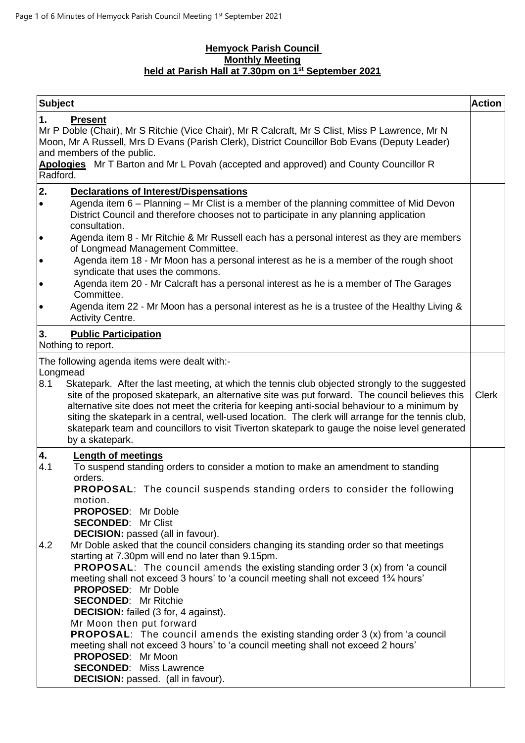# **Hemyock Parish Council Monthly Meeting held at Parish Hall at 7.30pm on 1 st September 2021**

| <b>Subject</b> |                                                                                                                                                                                                                                                                                                                                                                                                                                                                                                                             | <b>Action</b> |
|----------------|-----------------------------------------------------------------------------------------------------------------------------------------------------------------------------------------------------------------------------------------------------------------------------------------------------------------------------------------------------------------------------------------------------------------------------------------------------------------------------------------------------------------------------|---------------|
| Radford.       | <b>Present</b><br>Mr P Doble (Chair), Mr S Ritchie (Vice Chair), Mr R Calcraft, Mr S Clist, Miss P Lawrence, Mr N<br>Moon, Mr A Russell, Mrs D Evans (Parish Clerk), District Councillor Bob Evans (Deputy Leader)<br>and members of the public.<br>Apologies Mr T Barton and Mr L Povah (accepted and approved) and County Councillor R                                                                                                                                                                                    |               |
| 2.             | <b>Declarations of Interest/Dispensations</b>                                                                                                                                                                                                                                                                                                                                                                                                                                                                               |               |
| $\bullet$      | Agenda item 6 – Planning – Mr Clist is a member of the planning committee of Mid Devon<br>District Council and therefore chooses not to participate in any planning application<br>consultation.                                                                                                                                                                                                                                                                                                                            |               |
| $\bullet$      | Agenda item 8 - Mr Ritchie & Mr Russell each has a personal interest as they are members<br>of Longmead Management Committee.                                                                                                                                                                                                                                                                                                                                                                                               |               |
| $\bullet$      | Agenda item 18 - Mr Moon has a personal interest as he is a member of the rough shoot<br>syndicate that uses the commons.                                                                                                                                                                                                                                                                                                                                                                                                   |               |
| $\bullet$      | Agenda item 20 - Mr Calcraft has a personal interest as he is a member of The Garages<br>Committee.                                                                                                                                                                                                                                                                                                                                                                                                                         |               |
| $\bullet$      | Agenda item 22 - Mr Moon has a personal interest as he is a trustee of the Healthy Living &<br>Activity Centre.                                                                                                                                                                                                                                                                                                                                                                                                             |               |
| 3.             | <b>Public Participation</b><br>Nothing to report.                                                                                                                                                                                                                                                                                                                                                                                                                                                                           |               |
|                | The following agenda items were dealt with:-                                                                                                                                                                                                                                                                                                                                                                                                                                                                                |               |
| Longmead       |                                                                                                                                                                                                                                                                                                                                                                                                                                                                                                                             |               |
| 8.1            | Skatepark. After the last meeting, at which the tennis club objected strongly to the suggested<br>site of the proposed skatepark, an alternative site was put forward. The council believes this<br>alternative site does not meet the criteria for keeping anti-social behaviour to a minimum by<br>siting the skatepark in a central, well-used location. The clerk will arrange for the tennis club,<br>skatepark team and councillors to visit Tiverton skatepark to gauge the noise level generated<br>by a skatepark. | <b>Clerk</b>  |
| 4.<br>4.1      | <b>Length of meetings</b><br>To suspend standing orders to consider a motion to make an amendment to standing                                                                                                                                                                                                                                                                                                                                                                                                               |               |
|                | orders.<br><b>PROPOSAL:</b> The council suspends standing orders to consider the following<br>motion.                                                                                                                                                                                                                                                                                                                                                                                                                       |               |
|                | <b>PROPOSED:</b> Mr Doble<br><b>SECONDED: Mr Clist</b>                                                                                                                                                                                                                                                                                                                                                                                                                                                                      |               |
|                | <b>DECISION:</b> passed (all in favour).                                                                                                                                                                                                                                                                                                                                                                                                                                                                                    |               |
| 4.2            | Mr Doble asked that the council considers changing its standing order so that meetings<br>starting at 7.30pm will end no later than 9.15pm.                                                                                                                                                                                                                                                                                                                                                                                 |               |
|                | <b>PROPOSAL:</b> The council amends the existing standing order 3 (x) from 'a council<br>meeting shall not exceed 3 hours' to 'a council meeting shall not exceed 1 <sup>3</sup> /4 hours'                                                                                                                                                                                                                                                                                                                                  |               |
|                | <b>PROPOSED:</b> Mr Doble<br><b>SECONDED:</b> Mr Ritchie                                                                                                                                                                                                                                                                                                                                                                                                                                                                    |               |
|                | <b>DECISION:</b> failed (3 for, 4 against).                                                                                                                                                                                                                                                                                                                                                                                                                                                                                 |               |
|                | Mr Moon then put forward                                                                                                                                                                                                                                                                                                                                                                                                                                                                                                    |               |
|                | <b>PROPOSAL:</b> The council amends the existing standing order 3 (x) from 'a council                                                                                                                                                                                                                                                                                                                                                                                                                                       |               |
|                | meeting shall not exceed 3 hours' to 'a council meeting shall not exceed 2 hours'<br>PROPOSED: Mr Moon                                                                                                                                                                                                                                                                                                                                                                                                                      |               |
|                | <b>SECONDED:</b> Miss Lawrence                                                                                                                                                                                                                                                                                                                                                                                                                                                                                              |               |
|                | <b>DECISION:</b> passed. (all in favour).                                                                                                                                                                                                                                                                                                                                                                                                                                                                                   |               |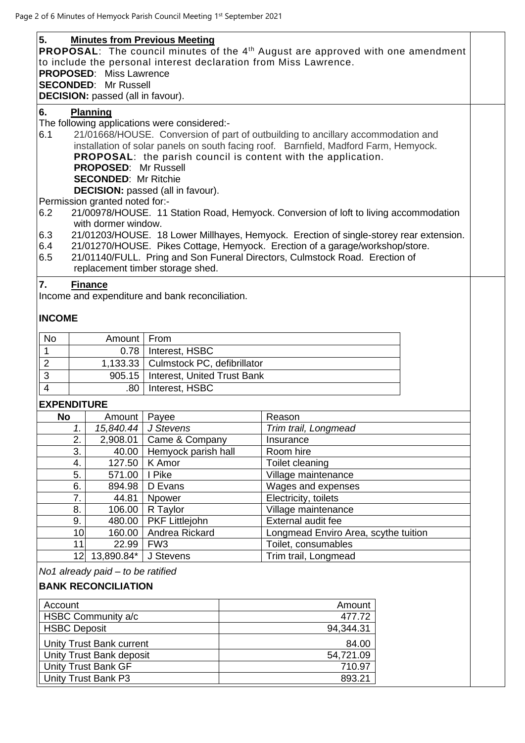| 5.<br><b>Minutes from Previous Meeting</b><br><b>PROPOSAL:</b> The council minutes of the 4 <sup>th</sup> August are approved with one amendment<br>to include the personal interest declaration from Miss Lawrence.<br><b>PROPOSED:</b> Miss Lawrence<br><b>SECONDED:</b> Mr Russell<br>DECISION: passed (all in favour). |                                                                         |                                |                                                 |                    |                                                                                        |  |  |  |
|----------------------------------------------------------------------------------------------------------------------------------------------------------------------------------------------------------------------------------------------------------------------------------------------------------------------------|-------------------------------------------------------------------------|--------------------------------|-------------------------------------------------|--------------------|----------------------------------------------------------------------------------------|--|--|--|
|                                                                                                                                                                                                                                                                                                                            |                                                                         |                                |                                                 |                    |                                                                                        |  |  |  |
| 6.                                                                                                                                                                                                                                                                                                                         |                                                                         | <b>Planning</b>                |                                                 |                    |                                                                                        |  |  |  |
|                                                                                                                                                                                                                                                                                                                            |                                                                         |                                | The following applications were considered:-    |                    |                                                                                        |  |  |  |
| 6.1                                                                                                                                                                                                                                                                                                                        |                                                                         |                                |                                                 |                    | 21/01668/HOUSE. Conversion of part of outbuilding to ancillary accommodation and       |  |  |  |
|                                                                                                                                                                                                                                                                                                                            |                                                                         |                                |                                                 |                    | installation of solar panels on south facing roof. Barnfield, Madford Farm, Hemyock.   |  |  |  |
|                                                                                                                                                                                                                                                                                                                            |                                                                         |                                |                                                 |                    | <b>PROPOSAL:</b> the parish council is content with the application.                   |  |  |  |
|                                                                                                                                                                                                                                                                                                                            |                                                                         | <b>PROPOSED: Mr Russell</b>    |                                                 |                    |                                                                                        |  |  |  |
|                                                                                                                                                                                                                                                                                                                            |                                                                         |                                |                                                 |                    |                                                                                        |  |  |  |
|                                                                                                                                                                                                                                                                                                                            | <b>SECONDED: Mr Ritchie</b><br><b>DECISION:</b> passed (all in favour). |                                |                                                 |                    |                                                                                        |  |  |  |
|                                                                                                                                                                                                                                                                                                                            |                                                                         |                                |                                                 |                    |                                                                                        |  |  |  |
|                                                                                                                                                                                                                                                                                                                            |                                                                         | Permission granted noted for:- |                                                 |                    |                                                                                        |  |  |  |
| 6.2                                                                                                                                                                                                                                                                                                                        |                                                                         |                                |                                                 |                    | 21/00978/HOUSE. 11 Station Road, Hemyock. Conversion of loft to living accommodation   |  |  |  |
|                                                                                                                                                                                                                                                                                                                            |                                                                         | with dormer window.            |                                                 |                    |                                                                                        |  |  |  |
| 6.3                                                                                                                                                                                                                                                                                                                        |                                                                         |                                |                                                 |                    | 21/01203/HOUSE. 18 Lower Millhayes, Hemyock. Erection of single-storey rear extension. |  |  |  |
| 6.4                                                                                                                                                                                                                                                                                                                        |                                                                         |                                |                                                 |                    | 21/01270/HOUSE. Pikes Cottage, Hemyock. Erection of a garage/workshop/store.           |  |  |  |
| 6.5                                                                                                                                                                                                                                                                                                                        |                                                                         |                                |                                                 |                    | 21/01140/FULL. Pring and Son Funeral Directors, Culmstock Road. Erection of            |  |  |  |
|                                                                                                                                                                                                                                                                                                                            |                                                                         |                                | replacement timber storage shed.                |                    |                                                                                        |  |  |  |
| 7.                                                                                                                                                                                                                                                                                                                         |                                                                         | <b>Finance</b>                 |                                                 |                    |                                                                                        |  |  |  |
|                                                                                                                                                                                                                                                                                                                            |                                                                         |                                | Income and expenditure and bank reconciliation. |                    |                                                                                        |  |  |  |
|                                                                                                                                                                                                                                                                                                                            |                                                                         |                                |                                                 |                    |                                                                                        |  |  |  |
|                                                                                                                                                                                                                                                                                                                            |                                                                         |                                |                                                 |                    |                                                                                        |  |  |  |
| <b>INCOME</b>                                                                                                                                                                                                                                                                                                              |                                                                         |                                |                                                 |                    |                                                                                        |  |  |  |
|                                                                                                                                                                                                                                                                                                                            |                                                                         |                                |                                                 |                    |                                                                                        |  |  |  |
| No                                                                                                                                                                                                                                                                                                                         |                                                                         | Amount                         | From                                            |                    |                                                                                        |  |  |  |
| $\mathbf{1}$                                                                                                                                                                                                                                                                                                               |                                                                         | 0.78                           |                                                 | Interest, HSBC     |                                                                                        |  |  |  |
| $\overline{2}$                                                                                                                                                                                                                                                                                                             |                                                                         | 1,133.33                       | Culmstock PC, defibrillator                     |                    |                                                                                        |  |  |  |
| 3                                                                                                                                                                                                                                                                                                                          |                                                                         | 905.15                         | Interest, United Trust Bank                     |                    |                                                                                        |  |  |  |
| $\overline{4}$                                                                                                                                                                                                                                                                                                             |                                                                         | .80                            | Interest, HSBC                                  |                    |                                                                                        |  |  |  |
|                                                                                                                                                                                                                                                                                                                            |                                                                         |                                |                                                 |                    |                                                                                        |  |  |  |
| <b>EXPENDITURE</b>                                                                                                                                                                                                                                                                                                         |                                                                         |                                |                                                 |                    |                                                                                        |  |  |  |
| No                                                                                                                                                                                                                                                                                                                         |                                                                         | Amount                         | Payee                                           |                    | Reason                                                                                 |  |  |  |
|                                                                                                                                                                                                                                                                                                                            | 1.                                                                      |                                | 15,840.44 J Stevens                             |                    | Trim trail, Longmead                                                                   |  |  |  |
|                                                                                                                                                                                                                                                                                                                            | $\overline{2}$ .                                                        | 2,908.01                       | Came & Company                                  |                    | Insurance                                                                              |  |  |  |
|                                                                                                                                                                                                                                                                                                                            | 3.                                                                      | 40.00                          | Hemyock parish hall                             |                    | Room hire                                                                              |  |  |  |
|                                                                                                                                                                                                                                                                                                                            | 4.                                                                      | 127.50                         | K Amor                                          |                    | Toilet cleaning                                                                        |  |  |  |
|                                                                                                                                                                                                                                                                                                                            | 5.                                                                      | 571.00                         | I Pike                                          |                    | Village maintenance                                                                    |  |  |  |
| 6.<br>894.98                                                                                                                                                                                                                                                                                                               |                                                                         | D Evans                        |                                                 | Wages and expenses |                                                                                        |  |  |  |
|                                                                                                                                                                                                                                                                                                                            | 7.                                                                      | 44.81                          | Npower                                          |                    | Electricity, toilets                                                                   |  |  |  |
|                                                                                                                                                                                                                                                                                                                            | 8.                                                                      | 106.00                         | R Taylor                                        |                    | Village maintenance                                                                    |  |  |  |
|                                                                                                                                                                                                                                                                                                                            | 9.                                                                      | 480.00                         | PKF Littlejohn                                  |                    | External audit fee                                                                     |  |  |  |
|                                                                                                                                                                                                                                                                                                                            | 10 <sub>1</sub>                                                         | 160.00                         | Andrea Rickard                                  |                    | Longmead Enviro Area, scythe tuition                                                   |  |  |  |
|                                                                                                                                                                                                                                                                                                                            | 11                                                                      | 22.99                          | FW <sub>3</sub>                                 |                    | Toilet, consumables                                                                    |  |  |  |
|                                                                                                                                                                                                                                                                                                                            |                                                                         |                                |                                                 |                    |                                                                                        |  |  |  |
|                                                                                                                                                                                                                                                                                                                            |                                                                         | 12 13,890.84*                  | J Stevens                                       |                    | Trim trail, Longmead                                                                   |  |  |  |
| No1 already paid - to be ratified                                                                                                                                                                                                                                                                                          |                                                                         |                                |                                                 |                    |                                                                                        |  |  |  |
|                                                                                                                                                                                                                                                                                                                            |                                                                         | <b>BANK RECONCILIATION</b>     |                                                 |                    |                                                                                        |  |  |  |
|                                                                                                                                                                                                                                                                                                                            |                                                                         |                                |                                                 |                    |                                                                                        |  |  |  |
|                                                                                                                                                                                                                                                                                                                            | Account<br>Amount                                                       |                                |                                                 |                    |                                                                                        |  |  |  |
| HSBC Community a/c                                                                                                                                                                                                                                                                                                         |                                                                         |                                |                                                 | 477.72             |                                                                                        |  |  |  |
| <b>HSBC Deposit</b>                                                                                                                                                                                                                                                                                                        |                                                                         |                                |                                                 | 94,344.31          |                                                                                        |  |  |  |
|                                                                                                                                                                                                                                                                                                                            |                                                                         |                                |                                                 |                    |                                                                                        |  |  |  |
| Unity Trust Bank current                                                                                                                                                                                                                                                                                                   |                                                                         |                                |                                                 | 84.00              |                                                                                        |  |  |  |
| Unity Trust Bank deposit                                                                                                                                                                                                                                                                                                   |                                                                         |                                |                                                 | 54,721.09          |                                                                                        |  |  |  |
| <b>Unity Trust Bank GF</b>                                                                                                                                                                                                                                                                                                 |                                                                         |                                |                                                 | 710.97             |                                                                                        |  |  |  |
| Unity Trust Bank P3                                                                                                                                                                                                                                                                                                        |                                                                         |                                |                                                 | 893.21             |                                                                                        |  |  |  |
|                                                                                                                                                                                                                                                                                                                            |                                                                         |                                |                                                 |                    |                                                                                        |  |  |  |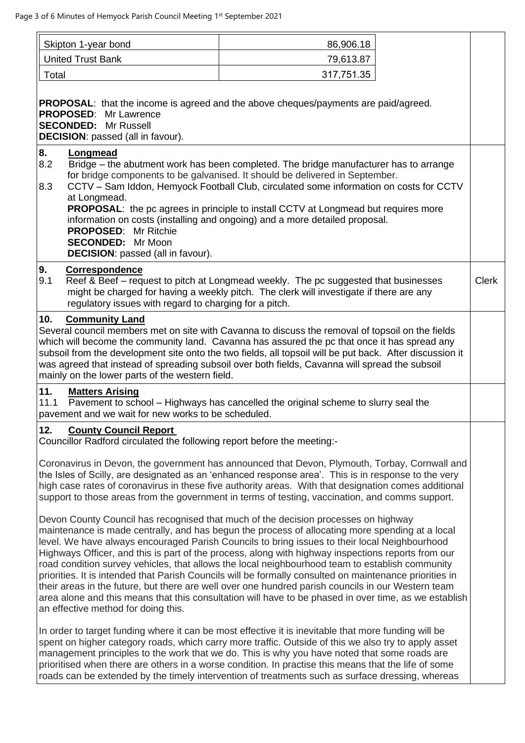|                                                                                                                                                                                                                                                                                                                                                                                                                                                                                                                                                                                                                                                                                                                                                                                                                                                                  | Skipton 1-year bond                                                                                                                                                                                                                                                                                                                                                                                                                                                                                                      | 86,906.18  |  |  |  |
|------------------------------------------------------------------------------------------------------------------------------------------------------------------------------------------------------------------------------------------------------------------------------------------------------------------------------------------------------------------------------------------------------------------------------------------------------------------------------------------------------------------------------------------------------------------------------------------------------------------------------------------------------------------------------------------------------------------------------------------------------------------------------------------------------------------------------------------------------------------|--------------------------------------------------------------------------------------------------------------------------------------------------------------------------------------------------------------------------------------------------------------------------------------------------------------------------------------------------------------------------------------------------------------------------------------------------------------------------------------------------------------------------|------------|--|--|--|
|                                                                                                                                                                                                                                                                                                                                                                                                                                                                                                                                                                                                                                                                                                                                                                                                                                                                  | <b>United Trust Bank</b>                                                                                                                                                                                                                                                                                                                                                                                                                                                                                                 | 79,613.87  |  |  |  |
|                                                                                                                                                                                                                                                                                                                                                                                                                                                                                                                                                                                                                                                                                                                                                                                                                                                                  | Total                                                                                                                                                                                                                                                                                                                                                                                                                                                                                                                    | 317,751.35 |  |  |  |
| <b>PROPOSAL:</b> that the income is agreed and the above cheques/payments are paid/agreed.<br><b>PROPOSED:</b> Mr Lawrence<br><b>SECONDED:</b> Mr Russell<br><b>DECISION:</b> passed (all in favour).                                                                                                                                                                                                                                                                                                                                                                                                                                                                                                                                                                                                                                                            |                                                                                                                                                                                                                                                                                                                                                                                                                                                                                                                          |            |  |  |  |
| 8.<br>Longmead<br>8.2<br>Bridge – the abutment work has been completed. The bridge manufacturer has to arrange<br>for bridge components to be galvanised. It should be delivered in September.<br>CCTV - Sam Iddon, Hemyock Football Club, circulated some information on costs for CCTV<br>8.3<br>at Longmead.<br><b>PROPOSAL:</b> the pc agrees in principle to install CCTV at Longmead but requires more<br>information on costs (installing and ongoing) and a more detailed proposal.<br><b>PROPOSED:</b><br>Mr Ritchie<br><b>SECONDED:</b> Mr Moon<br><b>DECISION:</b> passed (all in favour).                                                                                                                                                                                                                                                            |                                                                                                                                                                                                                                                                                                                                                                                                                                                                                                                          |            |  |  |  |
| 9.<br>Correspondence<br>9.1<br>Reef & Beef - request to pitch at Longmead weekly. The pc suggested that businesses<br><b>Clerk</b><br>might be charged for having a weekly pitch. The clerk will investigate if there are any<br>regulatory issues with regard to charging for a pitch.                                                                                                                                                                                                                                                                                                                                                                                                                                                                                                                                                                          |                                                                                                                                                                                                                                                                                                                                                                                                                                                                                                                          |            |  |  |  |
|                                                                                                                                                                                                                                                                                                                                                                                                                                                                                                                                                                                                                                                                                                                                                                                                                                                                  | 10.<br><b>Community Land</b><br>Several council members met on site with Cavanna to discuss the removal of topsoil on the fields<br>which will become the community land. Cavanna has assured the pc that once it has spread any<br>subsoil from the development site onto the two fields, all topsoil will be put back. After discussion it<br>was agreed that instead of spreading subsoil over both fields, Cavanna will spread the subsoil<br>mainly on the lower parts of the western field.                        |            |  |  |  |
| 11.<br><b>Matters Arising</b><br>Pavement to school - Highways has cancelled the original scheme to slurry seal the<br>11.1<br>pavement and we wait for new works to be scheduled.                                                                                                                                                                                                                                                                                                                                                                                                                                                                                                                                                                                                                                                                               |                                                                                                                                                                                                                                                                                                                                                                                                                                                                                                                          |            |  |  |  |
| 12.<br><b>County Council Report</b><br>Councillor Radford circulated the following report before the meeting:-                                                                                                                                                                                                                                                                                                                                                                                                                                                                                                                                                                                                                                                                                                                                                   |                                                                                                                                                                                                                                                                                                                                                                                                                                                                                                                          |            |  |  |  |
| Coronavirus in Devon, the government has announced that Devon, Plymouth, Torbay, Cornwall and<br>the Isles of Scilly, are designated as an 'enhanced response area'. This is in response to the very<br>high case rates of coronavirus in these five authority areas. With that designation comes additional<br>support to those areas from the government in terms of testing, vaccination, and comms support.                                                                                                                                                                                                                                                                                                                                                                                                                                                  |                                                                                                                                                                                                                                                                                                                                                                                                                                                                                                                          |            |  |  |  |
| Devon County Council has recognised that much of the decision processes on highway<br>maintenance is made centrally, and has begun the process of allocating more spending at a local<br>level. We have always encouraged Parish Councils to bring issues to their local Neighbourhood<br>Highways Officer, and this is part of the process, along with highway inspections reports from our<br>road condition survey vehicles, that allows the local neighbourhood team to establish community<br>priorities. It is intended that Parish Councils will be formally consulted on maintenance priorities in<br>their areas in the future, but there are well over one hundred parish councils in our Western team<br>area alone and this means that this consultation will have to be phased in over time, as we establish<br>an effective method for doing this. |                                                                                                                                                                                                                                                                                                                                                                                                                                                                                                                          |            |  |  |  |
|                                                                                                                                                                                                                                                                                                                                                                                                                                                                                                                                                                                                                                                                                                                                                                                                                                                                  | In order to target funding where it can be most effective it is inevitable that more funding will be<br>spent on higher category roads, which carry more traffic. Outside of this we also try to apply asset<br>management principles to the work that we do. This is why you have noted that some roads are<br>prioritised when there are others in a worse condition. In practise this means that the life of some<br>roads can be extended by the timely intervention of treatments such as surface dressing, whereas |            |  |  |  |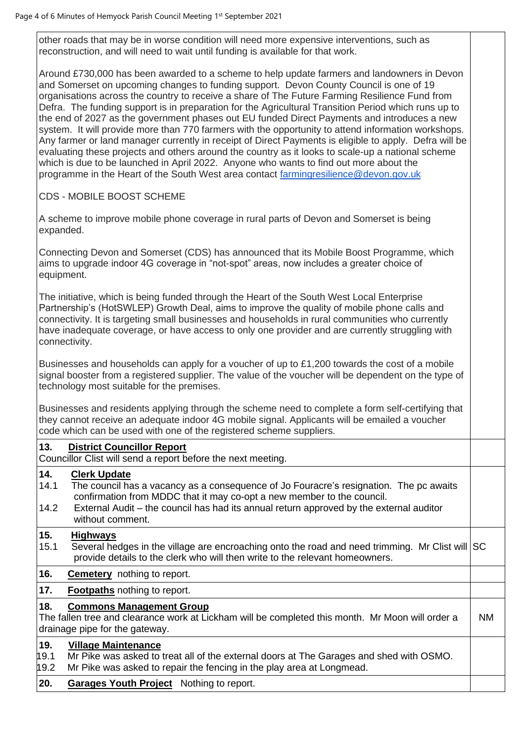other roads that may be in worse condition will need more expensive interventions, such as reconstruction, and will need to wait until funding is available for that work.

Around £730,000 has been awarded to a scheme to help update farmers and landowners in Devon and Somerset on upcoming changes to funding support. Devon County Council is one of 19 organisations across the country to receive a share of The Future Farming Resilience Fund from Defra. The funding support is in preparation for the Agricultural Transition Period which runs up to the end of 2027 as the government phases out EU funded Direct Payments and introduces a new system. It will provide more than 770 farmers with the opportunity to attend information workshops. Any farmer or land manager currently in receipt of Direct Payments is eligible to apply. Defra will be evaluating these projects and others around the country as it looks to scale-up a national scheme which is due to be launched in April 2022. Anyone who wants to find out more about the programme in the Heart of the South West area contact [farmingresilience@devon.gov.uk](mailto:farmingresilience@devon.gov.uk)

CDS - MOBILE BOOST SCHEME

A scheme to improve mobile phone coverage in rural parts of Devon and Somerset is being expanded.

Connecting Devon and Somerset (CDS) has announced that its Mobile Boost Programme, which aims to upgrade indoor 4G coverage in "not-spot" areas, now includes a greater choice of equipment.

The initiative, which is being funded through the Heart of the South West Local Enterprise Partnership's (HotSWLEP) Growth Deal, aims to improve the quality of mobile phone calls and connectivity. It is targeting small businesses and households in rural communities who currently have inadequate coverage, or have access to only one provider and are currently struggling with connectivity.

Businesses and households can apply for a voucher of up to £1,200 towards the cost of a mobile signal booster from a registered supplier. The value of the voucher will be dependent on the type of technology most suitable for the premises.

Businesses and residents applying through the scheme need to complete a form self-certifying that they cannot receive an adequate indoor 4G mobile signal. Applicants will be emailed a voucher code which can be used with one of the registered scheme suppliers.

# **13. District Councillor Report**

Councillor Clist will send a report before the next meeting.

#### **14. Clerk Update**

- 14.1 The council has a vacancy as a consequence of Jo Fouracre's resignation. The pc awaits confirmation from MDDC that it may co-opt a new member to the council.
- 14.2 External Audit the council has had its annual return approved by the external auditor without comment.

#### **15. Highways**

- 15.1 Several hedges in the village are encroaching onto the road and need trimming. Mr Clist will SC provide details to the clerk who will then write to the relevant homeowners.
- **16. Cemetery** nothing to report.

# **17. Footpaths** nothing to report.

# **18. Commons Management Group**

The fallen tree and clearance work at Lickham will be completed this month. Mr Moon will order a drainage pipe for the gateway. NM

### **19. Village Maintenance**

19.1 Mr Pike was asked to treat all of the external doors at The Garages and shed with OSMO.

- 19.2 Mr Pike was asked to repair the fencing in the play area at Longmead.
- **20. Garages Youth Project** Nothing to report.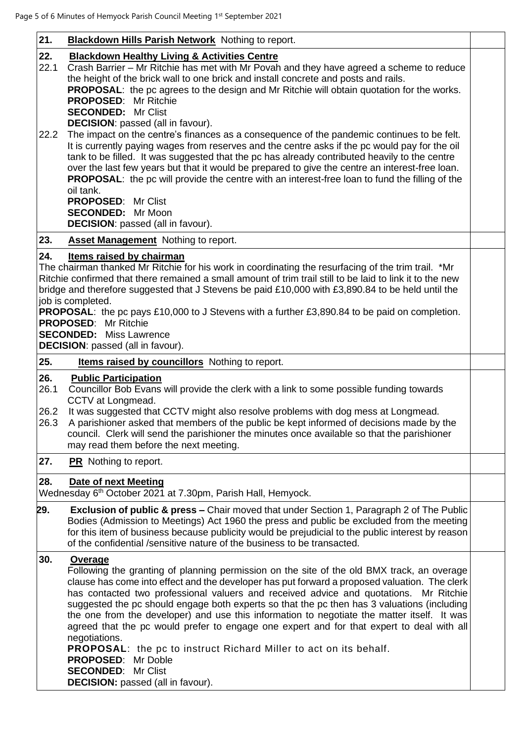| 21.                         | <b>Blackdown Hills Parish Network</b> Nothing to report.                                                                                                                                                                                                                                                                                                                                                                                                                                                                                                                                                                                                                                                                                                                                                                                                                                                                                                                         |  |
|-----------------------------|----------------------------------------------------------------------------------------------------------------------------------------------------------------------------------------------------------------------------------------------------------------------------------------------------------------------------------------------------------------------------------------------------------------------------------------------------------------------------------------------------------------------------------------------------------------------------------------------------------------------------------------------------------------------------------------------------------------------------------------------------------------------------------------------------------------------------------------------------------------------------------------------------------------------------------------------------------------------------------|--|
| 22.<br>22.1<br>22.2         | <b>Blackdown Healthy Living &amp; Activities Centre</b><br>Crash Barrier - Mr Ritchie has met with Mr Povah and they have agreed a scheme to reduce<br>the height of the brick wall to one brick and install concrete and posts and rails.<br><b>PROPOSAL:</b> the pc agrees to the design and Mr Ritchie will obtain quotation for the works.<br><b>PROPOSED:</b> Mr Ritchie<br><b>SECONDED: Mr Clist</b><br><b>DECISION:</b> passed (all in favour).<br>The impact on the centre's finances as a consequence of the pandemic continues to be felt.<br>It is currently paying wages from reserves and the centre asks if the pc would pay for the oil<br>tank to be filled. It was suggested that the pc has already contributed heavily to the centre<br>over the last few years but that it would be prepared to give the centre an interest-free loan.<br><b>PROPOSAL:</b> the pc will provide the centre with an interest-free loan to fund the filling of the<br>oil tank. |  |
|                             | <b>PROPOSED: Mr Clist</b><br><b>SECONDED:</b> Mr Moon<br><b>DECISION:</b> passed (all in favour).                                                                                                                                                                                                                                                                                                                                                                                                                                                                                                                                                                                                                                                                                                                                                                                                                                                                                |  |
| 23.                         | <b>Asset Management</b> Nothing to report.                                                                                                                                                                                                                                                                                                                                                                                                                                                                                                                                                                                                                                                                                                                                                                                                                                                                                                                                       |  |
| 24.                         | Items raised by chairman<br>The chairman thanked Mr Ritchie for his work in coordinating the resurfacing of the trim trail. *Mr<br>Ritchie confirmed that there remained a small amount of trim trail still to be laid to link it to the new<br>bridge and therefore suggested that J Stevens be paid £10,000 with £3,890.84 to be held until the<br>job is completed.<br><b>PROPOSAL:</b> the pc pays £10,000 to J Stevens with a further £3,890.84 to be paid on completion.<br><b>PROPOSED:</b> Mr Ritchie<br><b>SECONDED:</b> Miss Lawrence<br><b>DECISION:</b> passed (all in favour).                                                                                                                                                                                                                                                                                                                                                                                      |  |
| 25.                         | <b>Items raised by councillors</b> Nothing to report.                                                                                                                                                                                                                                                                                                                                                                                                                                                                                                                                                                                                                                                                                                                                                                                                                                                                                                                            |  |
| 26.<br>26.1<br>26.2<br>26.3 | <b>Public Participation</b><br>Councillor Bob Evans will provide the clerk with a link to some possible funding towards<br>CCTV at Longmead.<br>It was suggested that CCTV might also resolve problems with dog mess at Longmead.<br>A parishioner asked that members of the public be kept informed of decisions made by the<br>council. Clerk will send the parishioner the minutes once available so that the parishioner<br>may read them before the next meeting.                                                                                                                                                                                                                                                                                                                                                                                                                                                                                                           |  |
| 27.                         | <b>PR</b> Nothing to report.                                                                                                                                                                                                                                                                                                                                                                                                                                                                                                                                                                                                                                                                                                                                                                                                                                                                                                                                                     |  |
| 28.                         | <b>Date of next Meeting</b><br>Wednesday 6 <sup>th</sup> October 2021 at 7.30pm, Parish Hall, Hemyock.                                                                                                                                                                                                                                                                                                                                                                                                                                                                                                                                                                                                                                                                                                                                                                                                                                                                           |  |
| 29.                         | <b>Exclusion of public &amp; press – Chair moved that under Section 1, Paragraph 2 of The Public</b><br>Bodies (Admission to Meetings) Act 1960 the press and public be excluded from the meeting<br>for this item of business because publicity would be prejudicial to the public interest by reason<br>of the confidential /sensitive nature of the business to be transacted.                                                                                                                                                                                                                                                                                                                                                                                                                                                                                                                                                                                                |  |
| 30.                         | <b>Overage</b><br>Following the granting of planning permission on the site of the old BMX track, an overage<br>clause has come into effect and the developer has put forward a proposed valuation. The clerk<br>has contacted two professional valuers and received advice and quotations. Mr Ritchie<br>suggested the pc should engage both experts so that the pc then has 3 valuations (including<br>the one from the developer) and use this information to negotiate the matter itself. It was<br>agreed that the pc would prefer to engage one expert and for that expert to deal with all<br>negotiations.<br><b>PROPOSAL:</b> the pc to instruct Richard Miller to act on its behalf.<br><b>PROPOSED:</b><br>Mr Doble<br>Mr Clist<br><b>SECONDED:</b><br><b>DECISION:</b> passed (all in favour).                                                                                                                                                                       |  |